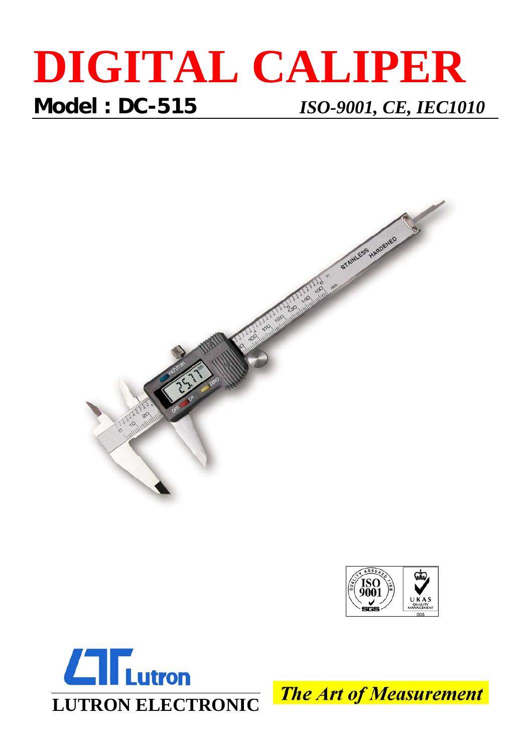## **DIGITAL CALIPER Model : DC-515** *ISO-9001, CE, IEC1010*







**The Art of Measurement**